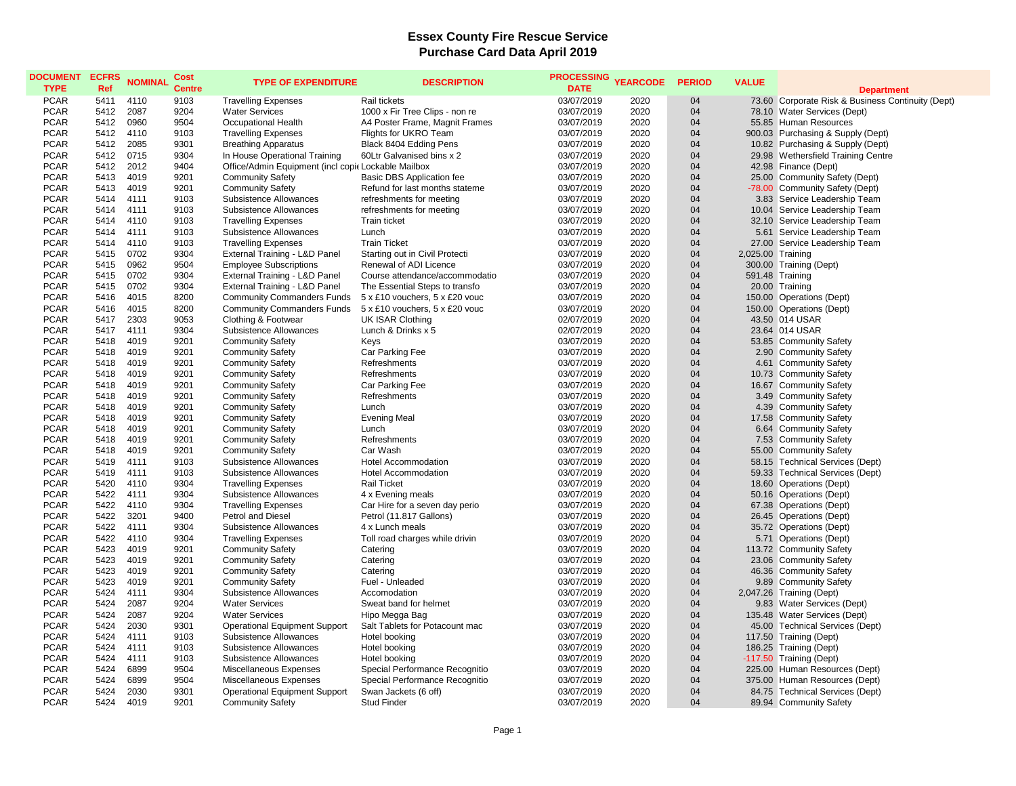## **Essex County Fire Rescue Service Purchase Card Data April 2019**

| <b>DOCUMENT</b><br><b>TYPE</b> | <b>ECFRS</b><br>Ref | <b>NOMINAL</b> | Cost<br><b>Centre</b> | <b>TYPE OF EXPENDITURE</b>                          | <b>DESCRIPTION</b>               | <b>PROCESSING</b><br><b>DATE</b> | <b>YEARCODE</b> | <b>PERIOD</b> | <b>VALUE</b>      | <b>Department</b>                                 |
|--------------------------------|---------------------|----------------|-----------------------|-----------------------------------------------------|----------------------------------|----------------------------------|-----------------|---------------|-------------------|---------------------------------------------------|
| <b>PCAR</b>                    | 5411                | 4110           | 9103                  | <b>Travelling Expenses</b>                          | Rail tickets                     | 03/07/2019                       | 2020            | 04            |                   | 73.60 Corporate Risk & Business Continuity (Dept) |
| <b>PCAR</b>                    | 5412                | 2087           | 9204                  | <b>Water Services</b>                               | 1000 x Fir Tree Clips - non re   | 03/07/2019                       | 2020            | 04            |                   | 78.10 Water Services (Dept)                       |
| <b>PCAR</b>                    | 5412                | 0960           | 9504                  | Occupational Health                                 | A4 Poster Frame, Magnit Frames   | 03/07/2019                       | 2020            | 04            |                   | 55.85 Human Resources                             |
| <b>PCAR</b>                    | 5412                | 4110           | 9103                  | <b>Travelling Expenses</b>                          | Flights for UKRO Team            | 03/07/2019                       | 2020            | 04            |                   | 900.03 Purchasing & Supply (Dept)                 |
| <b>PCAR</b>                    | 5412                | 2085           | 9301                  | <b>Breathing Apparatus</b>                          | Black 8404 Edding Pens           | 03/07/2019                       | 2020            | 04            |                   | 10.82 Purchasing & Supply (Dept)                  |
| <b>PCAR</b>                    | 5412                | 0715           | 9304                  | In House Operational Training                       | 60Ltr Galvanised bins x 2        | 03/07/2019                       | 2020            | 04            |                   | 29.98 Wethersfield Training Centre                |
| <b>PCAR</b>                    | 5412                | 2012           | 9404                  | Office/Admin Equipment (incl copic Lockable Mailbox |                                  | 03/07/2019                       | 2020            | 04            |                   | 42.98 Finance (Dept)                              |
| <b>PCAR</b>                    | 5413                | 4019           | 9201                  | <b>Community Safety</b>                             | <b>Basic DBS Application fee</b> | 03/07/2019                       | 2020            | 04            |                   | 25.00 Community Safety (Dept)                     |
| <b>PCAR</b>                    | 5413                | 4019           | 9201                  | <b>Community Safety</b>                             | Refund for last months stateme   | 03/07/2019                       | 2020            | 04            |                   | -78.00 Community Safety (Dept)                    |
| <b>PCAR</b>                    | 5414                | 4111           | 9103                  | Subsistence Allowances                              | refreshments for meeting         | 03/07/2019                       | 2020            | 04            |                   | 3.83 Service Leadership Team                      |
| <b>PCAR</b>                    | 5414                | 4111           | 9103                  | Subsistence Allowances                              | refreshments for meeting         | 03/07/2019                       | 2020            | 04            |                   | 10.04 Service Leadership Team                     |
| <b>PCAR</b>                    | 5414                | 4110           | 9103                  | <b>Travelling Expenses</b>                          | <b>Train ticket</b>              | 03/07/2019                       | 2020            | 04            |                   | 32.10 Service Leadership Team                     |
| <b>PCAR</b>                    | 5414                | 4111           | 9103                  | Subsistence Allowances                              | Lunch                            | 03/07/2019                       | 2020            | 04            |                   | 5.61 Service Leadership Team                      |
| <b>PCAR</b>                    | 5414                | 4110           | 9103                  | <b>Travelling Expenses</b>                          | <b>Train Ticket</b>              | 03/07/2019                       | 2020            | 04            |                   | 27.00 Service Leadership Team                     |
| <b>PCAR</b>                    | 5415                | 0702           | 9304                  | External Training - L&D Panel                       | Starting out in Civil Protecti   | 03/07/2019                       | 2020            | 04            | 2,025.00 Training |                                                   |
| <b>PCAR</b>                    | 5415                | 0962           | 9504                  | <b>Employee Subscriptions</b>                       | Renewal of ADI Licence           | 03/07/2019                       | 2020            | 04            |                   | 300.00 Training (Dept)                            |
| <b>PCAR</b>                    | 5415                | 0702           | 9304                  | External Training - L&D Panel                       | Course attendance/accommodatio   | 03/07/2019                       | 2020            | 04            |                   | 591.48 Training                                   |
| <b>PCAR</b>                    | 5415                | 0702           | 9304                  | External Training - L&D Panel                       | The Essential Steps to transfo   | 03/07/2019                       | 2020            | 04            |                   | 20.00 Training                                    |
| <b>PCAR</b>                    | 5416                | 4015           | 8200                  | <b>Community Commanders Funds</b>                   | 5 x £10 vouchers, 5 x £20 vouc   | 03/07/2019                       | 2020            | 04            |                   | 150.00 Operations (Dept)                          |
| <b>PCAR</b>                    | 5416                | 4015           | 8200                  | <b>Community Commanders Funds</b>                   | 5 x £10 vouchers, 5 x £20 vouc   | 03/07/2019                       | 2020            | 04            |                   | 150.00 Operations (Dept)                          |
| <b>PCAR</b>                    | 5417                | 2303           | 9053                  | Clothing & Footwear                                 | UK ISAR Clothing                 | 02/07/2019                       | 2020            | 04            |                   | 43.50 014 USAR                                    |
| <b>PCAR</b>                    | 5417                | 4111           | 9304                  | Subsistence Allowances                              | Lunch & Drinks x 5               | 02/07/2019                       | 2020            | 04            |                   | 23.64 014 USAR                                    |
| <b>PCAR</b>                    | 5418                | 4019           | 9201                  | <b>Community Safety</b>                             | Keys                             | 03/07/2019                       | 2020            | 04            |                   | 53.85 Community Safety                            |
| <b>PCAR</b>                    | 5418                | 4019           | 9201                  | <b>Community Safety</b>                             | Car Parking Fee                  | 03/07/2019                       | 2020            | 04            |                   | 2.90 Community Safety                             |
| <b>PCAR</b>                    | 5418                | 4019           | 9201                  | <b>Community Safety</b>                             | Refreshments                     | 03/07/2019                       | 2020            | 04            |                   | 4.61 Community Safety                             |
| <b>PCAR</b>                    | 5418                | 4019           | 9201                  | <b>Community Safety</b>                             | Refreshments                     | 03/07/2019                       | 2020            | 04            |                   | 10.73 Community Safety                            |
| <b>PCAR</b>                    | 5418                | 4019           | 9201                  | <b>Community Safety</b>                             | Car Parking Fee                  | 03/07/2019                       | 2020            | 04            |                   | 16.67 Community Safety                            |
| <b>PCAR</b>                    | 5418                | 4019           | 9201                  | <b>Community Safety</b>                             | Refreshments                     | 03/07/2019                       | 2020            | 04            |                   | 3.49 Community Safety                             |
| <b>PCAR</b>                    | 5418                | 4019           | 9201                  | <b>Community Safety</b>                             | Lunch                            | 03/07/2019                       | 2020            | 04            |                   | 4.39 Community Safety                             |
| <b>PCAR</b>                    | 5418                | 4019           | 9201                  | <b>Community Safety</b>                             | <b>Evening Meal</b>              | 03/07/2019                       | 2020            | 04            |                   | 17.58 Community Safety                            |
| <b>PCAR</b>                    | 5418                | 4019           | 9201                  | <b>Community Safety</b>                             | Lunch                            | 03/07/2019                       | 2020            | 04            |                   | 6.64 Community Safety                             |
| <b>PCAR</b>                    | 5418                | 4019           | 9201                  | <b>Community Safety</b>                             | Refreshments                     | 03/07/2019                       | 2020            | 04            |                   | 7.53 Community Safety                             |
| <b>PCAR</b>                    | 5418                | 4019           | 9201                  | <b>Community Safety</b>                             | Car Wash                         | 03/07/2019                       | 2020            | 04            |                   | 55.00 Community Safety                            |
| <b>PCAR</b>                    | 5419                | 4111           | 9103                  | Subsistence Allowances                              | <b>Hotel Accommodation</b>       | 03/07/2019                       | 2020            | 04            |                   | 58.15 Technical Services (Dept)                   |
| <b>PCAR</b>                    | 5419                | 4111           | 9103                  | Subsistence Allowances                              | <b>Hotel Accommodation</b>       | 03/07/2019                       | 2020            | 04            |                   | 59.33 Technical Services (Dept)                   |
| <b>PCAR</b>                    | 5420                | 4110           | 9304                  | <b>Travelling Expenses</b>                          | <b>Rail Ticket</b>               | 03/07/2019                       | 2020            | 04            |                   | 18.60 Operations (Dept)                           |
| <b>PCAR</b>                    | 5422                | 4111           | 9304                  | Subsistence Allowances                              | 4 x Evening meals                | 03/07/2019                       | 2020            | 04            |                   | 50.16 Operations (Dept)                           |
| <b>PCAR</b>                    | 5422                | 4110           | 9304                  | <b>Travelling Expenses</b>                          | Car Hire for a seven day perio   | 03/07/2019                       | 2020            | 04            |                   | 67.38 Operations (Dept)                           |
| <b>PCAR</b>                    | 5422                | 3201           | 9400                  | Petrol and Diesel                                   | Petrol (11.817 Gallons)          | 03/07/2019                       | 2020            | 04            |                   | 26.45 Operations (Dept)                           |
| PCAR                           | 5422                | 4111           | 9304                  | Subsistence Allowances                              | 4 x Lunch meals                  | 03/07/2019                       | 2020            | 04            |                   | 35.72 Operations (Dept)                           |
| <b>PCAR</b>                    | 5422                | 4110           | 9304                  | <b>Travelling Expenses</b>                          | Toll road charges while drivin   | 03/07/2019                       | 2020            | 04            |                   | 5.71 Operations (Dept)                            |
| <b>PCAR</b>                    | 5423                | 4019           | 9201                  | <b>Community Safety</b>                             | Catering                         | 03/07/2019                       | 2020            | 04            |                   | 113.72 Community Safety                           |
| <b>PCAR</b>                    | 5423                | 4019           | 9201                  | <b>Community Safety</b>                             | Catering                         | 03/07/2019                       | 2020            | 04            |                   | 23.06 Community Safety                            |
| <b>PCAR</b>                    | 5423                | 4019           | 9201                  | <b>Community Safety</b>                             | Catering                         | 03/07/2019                       | 2020            | 04            |                   | 46.36 Community Safety                            |
| <b>PCAR</b>                    | 5423                | 4019           | 9201                  | <b>Community Safety</b>                             | Fuel - Unleaded                  | 03/07/2019                       | 2020            | 04            |                   | 9.89 Community Safety                             |
| <b>PCAR</b>                    | 5424                | 4111           | 9304                  | Subsistence Allowances                              | Accomodation                     | 03/07/2019                       | 2020            | 04            |                   | 2,047.26 Training (Dept)                          |
| <b>PCAR</b>                    | 5424                | 2087           | 9204                  | <b>Water Services</b>                               | Sweat band for helmet            | 03/07/2019                       | 2020            | 04            |                   | 9.83 Water Services (Dept)                        |
| <b>PCAR</b>                    | 5424                | 2087           | 9204                  | <b>Water Services</b>                               | Hipo Megga Bag                   | 03/07/2019                       | 2020            | 04            |                   | 135.48 Water Services (Dept)                      |
| <b>PCAR</b>                    | 5424                | 2030           | 9301                  | <b>Operational Equipment Support</b>                | Salt Tablets for Potacount mac   | 03/07/2019                       | 2020            | 04            |                   | 45.00 Technical Services (Dept)                   |
| <b>PCAR</b>                    | 5424                | 4111           | 9103                  | Subsistence Allowances                              | Hotel booking                    | 03/07/2019                       | 2020            | 04            |                   | 117.50 Training (Dept)                            |
| <b>PCAR</b>                    | 5424                | 4111           | 9103                  | Subsistence Allowances                              | Hotel booking                    | 03/07/2019                       | 2020            | 04            |                   | 186.25 Training (Dept)                            |
| <b>PCAR</b>                    | 5424                | 4111           | 9103                  | Subsistence Allowances                              | Hotel booking                    | 03/07/2019                       | 2020            | 04            |                   | -117.50 Training (Dept)                           |
| <b>PCAR</b>                    | 5424                | 6899           | 9504                  | Miscellaneous Expenses                              | Special Performance Recognitio   | 03/07/2019                       | 2020            | 04            |                   | 225.00 Human Resources (Dept)                     |
| <b>PCAR</b>                    | 5424                | 6899           | 9504                  | Miscellaneous Expenses                              | Special Performance Recognitio   | 03/07/2019                       | 2020            | 04            |                   | 375.00 Human Resources (Dept)                     |
| <b>PCAR</b>                    | 5424                | 2030           | 9301                  | Operational Equipment Support                       | Swan Jackets (6 off)             | 03/07/2019                       | 2020            | 04            |                   | 84.75 Technical Services (Dept)                   |
| <b>PCAR</b>                    | 5424                | 4019           | 9201                  | <b>Community Safety</b>                             | <b>Stud Finder</b>               | 03/07/2019                       | 2020            | 04            |                   | 89.94 Community Safety                            |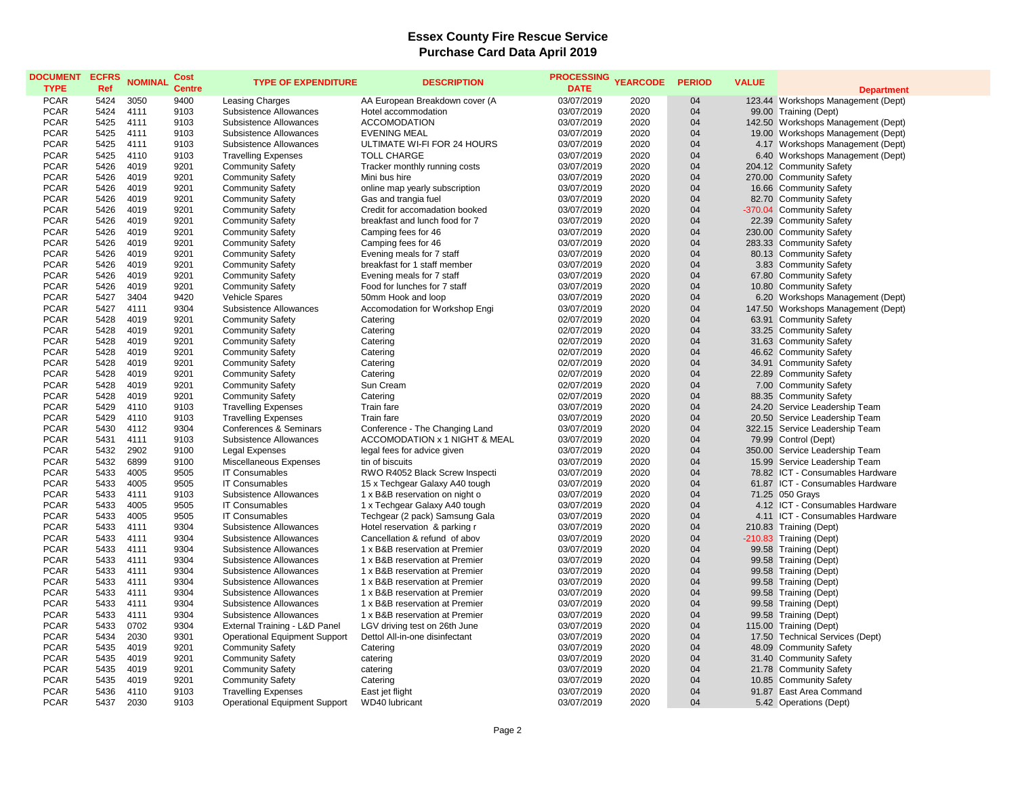## **Essex County Fire Rescue Service Purchase Card Data April 2019**

| <b>DOCUMENT ECFRS</b><br><b>TYPE</b> | Ref  | <b>NOMINAL</b> | Cost<br><b>Centre</b> | <b>TYPE OF EXPENDITURE</b>           | <b>DESCRIPTION</b>             | <b>PROCESSING</b><br><b>DATE</b> | <b>YEARCODE</b> | <b>PERIOD</b> | <b>VALUE</b> | <b>Department</b>                  |
|--------------------------------------|------|----------------|-----------------------|--------------------------------------|--------------------------------|----------------------------------|-----------------|---------------|--------------|------------------------------------|
| <b>PCAR</b>                          | 5424 | 3050           | 9400                  | Leasing Charges                      | AA European Breakdown cover (A | 03/07/2019                       | 2020            | 04            |              | 123.44 Workshops Management (Dept) |
| <b>PCAR</b>                          | 5424 | 4111           | 9103                  | Subsistence Allowances               | Hotel accommodation            | 03/07/2019                       | 2020            | 04            |              | 99.00 Training (Dept)              |
| <b>PCAR</b>                          | 5425 | 4111           | 9103                  | Subsistence Allowances               | <b>ACCOMODATION</b>            | 03/07/2019                       | 2020            | 04            |              | 142.50 Workshops Management (Dept) |
| <b>PCAR</b>                          | 5425 | 4111           | 9103                  | Subsistence Allowances               | <b>EVENING MEAL</b>            | 03/07/2019                       | 2020            | 04            |              | 19.00 Workshops Management (Dept)  |
| <b>PCAR</b>                          | 5425 | 4111           | 9103                  | Subsistence Allowances               | ULTIMATE WI-FI FOR 24 HOURS    | 03/07/2019                       | 2020            | 04            |              | 4.17 Workshops Management (Dept)   |
| <b>PCAR</b>                          | 5425 | 4110           | 9103                  | <b>Travelling Expenses</b>           | <b>TOLL CHARGE</b>             | 03/07/2019                       | 2020            | 04            |              | 6.40 Workshops Management (Dept)   |
| <b>PCAR</b>                          | 5426 | 4019           | 9201                  | <b>Community Safety</b>              | Tracker monthly running costs  | 03/07/2019                       | 2020            | 04            |              | 204.12 Community Safety            |
| <b>PCAR</b>                          | 5426 | 4019           | 9201                  | <b>Community Safety</b>              | Mini bus hire                  | 03/07/2019                       | 2020            | 04            |              | 270.00 Community Safety            |
| <b>PCAR</b>                          | 5426 | 4019           | 9201                  | <b>Community Safety</b>              | online map yearly subscription | 03/07/2019                       | 2020            | 04            |              | 16.66 Community Safety             |
| <b>PCAR</b>                          | 5426 | 4019           | 9201                  | <b>Community Safety</b>              | Gas and trangia fuel           | 03/07/2019                       | 2020            | 04            |              | 82.70 Community Safety             |
| <b>PCAR</b>                          | 5426 | 4019           | 9201                  | <b>Community Safety</b>              | Credit for accomadation booked | 03/07/2019                       | 2020            | 04            |              | -370.04 Community Safety           |
| <b>PCAR</b>                          | 5426 | 4019           | 9201                  | <b>Community Safety</b>              | breakfast and lunch food for 7 | 03/07/2019                       | 2020            | 04            |              | 22.39 Community Safety             |
| <b>PCAR</b>                          | 5426 | 4019           | 9201                  | <b>Community Safety</b>              | Camping fees for 46            | 03/07/2019                       | 2020            | 04            |              | 230.00 Community Safety            |
| <b>PCAR</b>                          | 5426 | 4019           | 9201                  | <b>Community Safety</b>              | Camping fees for 46            | 03/07/2019                       | 2020            | 04            |              | 283.33 Community Safety            |
| <b>PCAR</b>                          | 5426 | 4019           | 9201                  | <b>Community Safety</b>              | Evening meals for 7 staff      | 03/07/2019                       | 2020            | 04            |              | 80.13 Community Safety             |
| <b>PCAR</b>                          | 5426 | 4019           | 9201                  | <b>Community Safety</b>              | breakfast for 1 staff member   | 03/07/2019                       | 2020            | 04            |              | 3.83 Community Safety              |
| <b>PCAR</b>                          | 5426 | 4019           | 9201                  | <b>Community Safety</b>              | Evening meals for 7 staff      | 03/07/2019                       | 2020            | 04            |              | 67.80 Community Safety             |
| <b>PCAR</b>                          | 5426 | 4019           | 9201                  | <b>Community Safety</b>              | Food for lunches for 7 staff   | 03/07/2019                       | 2020            | 04            |              | 10.80 Community Safety             |
| <b>PCAR</b>                          | 5427 | 3404           | 9420                  | Vehicle Spares                       | 50mm Hook and loop             | 03/07/2019                       | 2020            | 04            |              | 6.20 Workshops Management (Dept)   |
| <b>PCAR</b>                          | 5427 | 4111           | 9304                  | Subsistence Allowances               | Accomodation for Workshop Engi | 03/07/2019                       | 2020            | 04            |              | 147.50 Workshops Management (Dept) |
| <b>PCAR</b>                          | 5428 | 4019           | 9201                  | <b>Community Safety</b>              | Catering                       | 02/07/2019                       | 2020            | 04            |              | 63.91 Community Safety             |
| <b>PCAR</b>                          | 5428 | 4019           | 9201                  | <b>Community Safety</b>              | Catering                       | 02/07/2019                       | 2020            | 04            |              | 33.25 Community Safety             |
| <b>PCAR</b>                          | 5428 | 4019           | 9201                  | <b>Community Safety</b>              | Catering                       | 02/07/2019                       | 2020            | 04            |              | 31.63 Community Safety             |
| <b>PCAR</b>                          | 5428 | 4019           | 9201                  | <b>Community Safety</b>              | Catering                       | 02/07/2019                       | 2020            | 04            |              | 46.62 Community Safety             |
| <b>PCAR</b>                          | 5428 | 4019           | 9201                  | <b>Community Safety</b>              | Catering                       | 02/07/2019                       | 2020            | 04            |              | 34.91 Community Safety             |
| <b>PCAR</b>                          | 5428 | 4019           | 9201                  | <b>Community Safety</b>              | Catering                       | 02/07/2019                       | 2020            | 04            |              | 22.89 Community Safety             |
| <b>PCAR</b>                          | 5428 | 4019           | 9201                  | <b>Community Safety</b>              | Sun Cream                      | 02/07/2019                       | 2020            | 04            |              | 7.00 Community Safety              |
| <b>PCAR</b>                          | 5428 | 4019           | 9201                  | <b>Community Safety</b>              | Catering                       | 02/07/2019                       | 2020            | 04            |              | 88.35 Community Safety             |
| <b>PCAR</b>                          | 5429 | 4110           | 9103                  | <b>Travelling Expenses</b>           | Train fare                     | 03/07/2019                       | 2020            | 04            |              | 24.20 Service Leadership Team      |
| <b>PCAR</b>                          | 5429 | 4110           | 9103                  | <b>Travelling Expenses</b>           | Train fare                     | 03/07/2019                       | 2020            | 04            |              | 20.50 Service Leadership Team      |
| <b>PCAR</b>                          | 5430 | 4112           | 9304                  | Conferences & Seminars               | Conference - The Changing Land | 03/07/2019                       | 2020            | 04            |              | 322.15 Service Leadership Team     |
| <b>PCAR</b>                          | 5431 | 4111           | 9103                  | Subsistence Allowances               | ACCOMODATION x 1 NIGHT & MEAL  | 03/07/2019                       | 2020            | 04            |              | 79.99 Control (Dept)               |
| <b>PCAR</b>                          | 5432 | 2902           | 9100                  | Legal Expenses                       | legal fees for advice given    | 03/07/2019                       | 2020            | 04            |              | 350.00 Service Leadership Team     |
| <b>PCAR</b>                          | 5432 | 6899           | 9100                  | Miscellaneous Expenses               | tin of biscuits                | 03/07/2019                       | 2020            | 04            |              | 15.99 Service Leadership Team      |
| <b>PCAR</b>                          | 5433 | 4005           | 9505                  | <b>IT Consumables</b>                | RWO R4052 Black Screw Inspecti | 03/07/2019                       | 2020            | 04            |              | 78.82 ICT - Consumables Hardware   |
| <b>PCAR</b>                          | 5433 | 4005           | 9505                  | <b>IT Consumables</b>                | 15 x Techgear Galaxy A40 tough | 03/07/2019                       | 2020            | 04            |              | 61.87 ICT - Consumables Hardware   |
| <b>PCAR</b>                          | 5433 | 4111           | 9103                  | Subsistence Allowances               | 1 x B&B reservation on night o | 03/07/2019                       | 2020            | 04            |              | 71.25 050 Grays                    |
| <b>PCAR</b>                          | 5433 | 4005           | 9505                  | <b>IT Consumables</b>                | 1 x Techgear Galaxy A40 tough  | 03/07/2019                       | 2020            | 04            |              | 4.12 ICT - Consumables Hardware    |
| <b>PCAR</b>                          | 5433 | 4005           | 9505                  | <b>IT Consumables</b>                | Techgear (2 pack) Samsung Gala | 03/07/2019                       | 2020            | 04            |              | 4.11 ICT - Consumables Hardware    |
| <b>PCAR</b>                          | 5433 | 4111           | 9304                  | Subsistence Allowances               | Hotel reservation & parking r  | 03/07/2019                       | 2020            | 04            |              | 210.83 Training (Dept)             |
| <b>PCAR</b>                          | 5433 | 4111           | 9304                  | Subsistence Allowances               | Cancellation & refund of abov  | 03/07/2019                       | 2020            | 04            |              | -210.83 Training (Dept)            |
| <b>PCAR</b>                          | 5433 | 4111           | 9304                  | Subsistence Allowances               | 1 x B&B reservation at Premier | 03/07/2019                       | 2020            | 04            |              | 99.58 Training (Dept)              |
| <b>PCAR</b>                          | 5433 | 4111           | 9304                  | Subsistence Allowances               | 1 x B&B reservation at Premier | 03/07/2019                       | 2020            | 04            |              | 99.58 Training (Dept)              |
| <b>PCAR</b>                          | 5433 | 4111           | 9304                  | Subsistence Allowances               | 1 x B&B reservation at Premier | 03/07/2019                       | 2020            | 04            |              | 99.58 Training (Dept)              |
| <b>PCAR</b>                          | 5433 | 4111           | 9304                  | Subsistence Allowances               | 1 x B&B reservation at Premier | 03/07/2019                       | 2020            | 04            |              | 99.58 Training (Dept)              |
| <b>PCAR</b>                          | 5433 | 4111           | 9304                  | Subsistence Allowances               | 1 x B&B reservation at Premier | 03/07/2019                       | 2020            | 04            |              | 99.58 Training (Dept)              |
| <b>PCAR</b>                          | 5433 | 4111           | 9304                  | <b>Subsistence Allowances</b>        | 1 x B&B reservation at Premier | 03/07/2019                       | 2020            | 04            |              | 99.58 Training (Dept)              |
| <b>PCAR</b>                          | 5433 | 4111           | 9304                  | Subsistence Allowances               | 1 x B&B reservation at Premier | 03/07/2019                       | 2020            | 04            |              | 99.58 Training (Dept)              |
| <b>PCAR</b>                          | 5433 | 0702           | 9304                  | External Training - L&D Panel        | LGV driving test on 26th June  | 03/07/2019                       | 2020            | 04            |              | 115.00 Training (Dept)             |
| <b>PCAR</b>                          | 5434 | 2030           | 9301                  | Operational Equipment Support        | Dettol All-in-one disinfectant | 03/07/2019                       | 2020            | 04            |              | 17.50 Technical Services (Dept)    |
| <b>PCAR</b>                          | 5435 | 4019           | 9201                  | <b>Community Safety</b>              | Catering                       | 03/07/2019                       | 2020            | 04            |              | 48.09 Community Safety             |
| <b>PCAR</b>                          | 5435 | 4019           | 9201                  | <b>Community Safety</b>              | catering                       | 03/07/2019                       | 2020            | 04            |              | 31.40 Community Safety             |
| <b>PCAR</b>                          | 5435 | 4019           | 9201                  | <b>Community Safety</b>              | catering                       | 03/07/2019                       | 2020            | 04            |              | 21.78 Community Safety             |
| <b>PCAR</b>                          | 5435 | 4019           | 9201                  | <b>Community Safety</b>              | Catering                       | 03/07/2019                       | 2020            | 04            |              | 10.85 Community Safety             |
| <b>PCAR</b>                          | 5436 | 4110           | 9103                  | <b>Travelling Expenses</b>           | East jet flight                | 03/07/2019                       | 2020            | 04            |              | 91.87 East Area Command            |
| <b>PCAR</b>                          | 5437 | 2030           | 9103                  | <b>Operational Equipment Support</b> | WD40 lubricant                 | 03/07/2019                       | 2020            | 04            |              | 5.42 Operations (Dept)             |